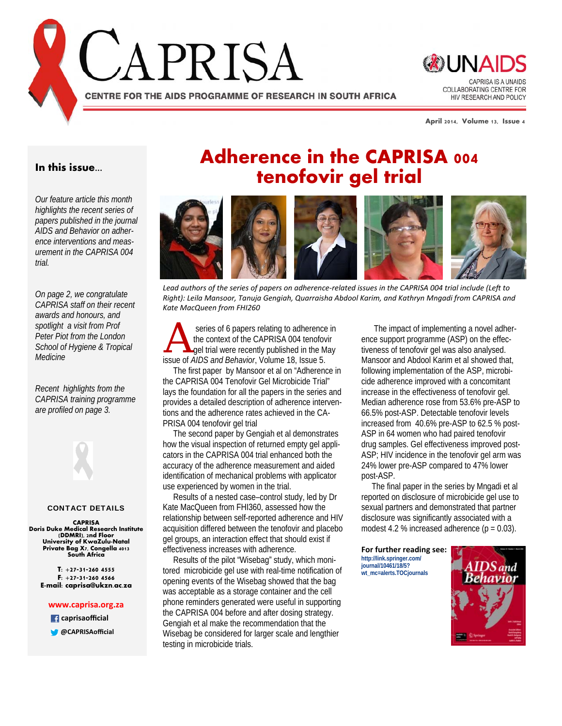



**April 2014, Volume 13, Issue 4** 

#### **In this issue...**

*Our feature article this month highlights the recent series of papers published in the journal AIDS and Behavior on adherence interventions and measurement in the CAPRISA 004 trial.* 

*On page 2, we congratulate CAPRISA staff on their recent awards and honours, and spotlight a visit from Prof Peter Piot from the London School of Hygiene & Tropical Medicine* 

*Recent highlights from the CAPRISA training programme are profiled on page 3.*



#### CONTACT DETAILS

**CAPRISA Doris Duke Medical Research Institute (DDMRI), 2nd Floor University of KwaZulu-Natal Private Bag X7, Congella 4013 South Africa** 

**T: +27-31-260 4555 F: +27-31-260 4566 E-mail: caprisa@ukzn.ac.za** 

#### **www.caprisa.org.za**

 **caprisaofficial**

**@CAPRISAofficial**

# **Adherence in the CAPRISA 004 tenofovir gel trial**



Lead authors of the series of papers on adherence-related issues in the CAPRISA 004 trial include (Left to *Right): Leila Mansoor, Tanuja Gengiah, Quarraisha Abdool Karim, and Kathryn Mngadi from CAPRISA and Kate MacQueen from FHI260*

Series of 6 papers relating to adherence in<br>the context of the CAPRISA 004 tenofovir<br>gel trial were recently published in the May the context of the CAPRISA 004 tenofovir issue of *AIDS and Behavior*, Volume 18, Issue 5.

 The first paper by Mansoor et al on "Adherence in the CAPRISA 004 Tenofovir Gel Microbicide Trial" lays the foundation for all the papers in the series and provides a detailed description of adherence interventions and the adherence rates achieved in the CA-PRISA 004 tenofovir gel trial

 The second paper by Gengiah et al demonstrates how the visual inspection of returned empty gel applicators in the CAPRISA 004 trial enhanced both the accuracy of the adherence measurement and aided identification of mechanical problems with applicator use experienced by women in the trial.

 Results of a nested case–control study, led by Dr Kate MacQueen from FHI360, assessed how the relationship between self-reported adherence and HIV acquisition differed between the tenofovir and placebo gel groups, an interaction effect that should exist if effectiveness increases with adherence.

 Results of the pilot "Wisebag" study, which monitored microbicide gel use with real-time notification of opening events of the Wisebag showed that the bag was acceptable as a storage container and the cell phone reminders generated were useful in supporting the CAPRISA 004 before and after dosing strategy. Gengiah et al make the recommendation that the Wisebag be considered for larger scale and lengthier testing in microbicide trials.

 The impact of implementing a novel adherence support programme (ASP) on the effectiveness of tenofovir gel was also analysed. Mansoor and Abdool Karim et al showed that, following implementation of the ASP, microbicide adherence improved with a concomitant increase in the effectiveness of tenofovir gel. Median adherence rose from 53.6% pre-ASP to 66.5% post-ASP. Detectable tenofovir levels increased from 40.6% pre-ASP to 62.5 % post-ASP in 64 women who had paired tenofovir drug samples. Gel effectiveness improved post-ASP; HIV incidence in the tenofovir gel arm was 24% lower pre-ASP compared to 47% lower post-ASP.

 The final paper in the series by Mngadi et al reported on disclosure of microbicide gel use to sexual partners and demonstrated that partner disclosure was significantly associated with a modest 4.2 % increased adherence  $(p = 0.03)$ .

**For further reading see: http://link.springer.com/ journal/10461/18/5? wt\_mc=alerts.TOCjournals** 

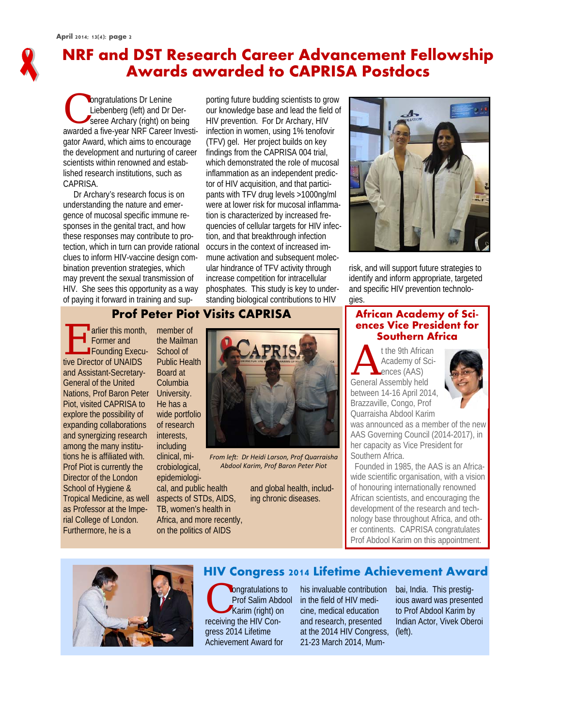# **NRF and DST Research Career Advancement Fellowship Awards awarded to CAPRISA Postdocs**

Congratulations Dr Lenine<br>Liebenberg (left) and Dr I<br>seree Archary (right) on b<br>averded a five year NPE Coroor Liebenberg (left) and Dr Derseree Archary (right) on being awarded a five-year NRF Career Investigator Award, which aims to encourage the development and nurturing of career scientists within renowned and established research institutions, such as CAPRISA.

 Dr Archary's research focus is on understanding the nature and emergence of mucosal specific immune responses in the genital tract, and how these responses may contribute to protection, which in turn can provide rational clues to inform HIV-vaccine design combination prevention strategies, which may prevent the sexual transmission of HIV. She sees this opportunity as a way of paying it forward in training and sup-

porting future budding scientists to grow our knowledge base and lead the field of HIV prevention. For Dr Archary, HIV infection in women, using 1% tenofovir (TFV) gel. Her project builds on key findings from the CAPRISA 004 trial, which demonstrated the role of mucosal inflammation as an independent predictor of HIV acquisition, and that participants with TFV drug levels >1000ng/ml were at lower risk for mucosal inflammation is characterized by increased frequencies of cellular targets for HIV infection, and that breakthrough infection occurs in the context of increased immune activation and subsequent molecular hindrance of TFV activity through increase competition for intracellular phosphates. This study is key to understanding biological contributions to HIV



risk, and will support future strategies to identify and inform appropriate, targeted and specific HIV prevention technologies.

### **Prof Peter Piot Visits CAPRISA**

Former and<br>
Former and<br>
Founding Execu-Former and tive Director of UNAIDS and Assistant-Secretary-General of the United Nations, Prof Baron Peter Piot, visited CAPRISA to explore the possibility of expanding collaborations and synergizing research among the many institutions he is affiliated with. Prof Piot is currently the Director of the London School of Hygiene & Tropical Medicine, as well as Professor at the Imperial College of London. Furthermore, he is a

member of the Mailman School of Public Health Board at Columbia University. He has a wide portfolio of research interests, including clinical, mi-

crobiological, epidemiological, and public health

aspects of STDs, AIDS, TB, women's health in Africa, and more recently, on the politics of AIDS



*From leŌ: Dr Heidi Larson, Prof Quarraisha Abdool Karim, Prof Baron Peter Piot*

> and global health, including chronic diseases.

#### **African Academy of Sciences Vice President for Southern Africa**

t the 9th African<br>Academy of Sciences (AAS) Academy of Sciences (AAS) General Assembly held between 14-16 April 2014, Brazzaville, Congo, Prof Quarraisha Abdool Karim



was announced as a member of the new AAS Governing Council (2014-2017), in her capacity as Vice President for Southern Africa.

 Founded in 1985, the AAS is an Africawide scientific organisation, with a vision of honouring internationally renowned African scientists, and encouraging the development of the research and technology base throughout Africa, and other continents. CAPRISA congratulates Prof Abdool Karim on this appointment.



#### **HIV Congress 2014 Lifetime Achievement Award**

**C** ongratulations to Prof Salim Abdool Karim (right) on receiving the HIV Congress 2014 Lifetime Achievement Award for

his invaluable contribution in the field of HIV medicine, medical education and research, presented at the 2014 HIV Congress, (left). 21-23 March 2014, Mum-

bai, India. This prestigious award was presented to Prof Abdool Karim by Indian Actor, Vivek Oberoi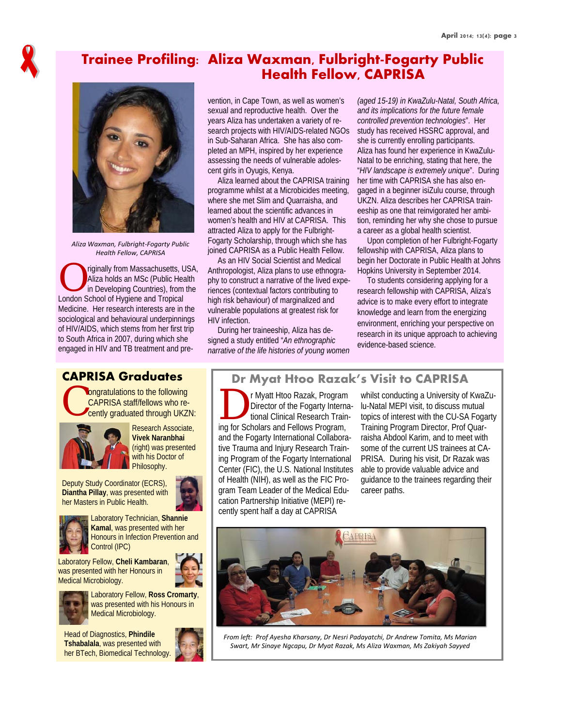

### **Trainee Profiling: Aliza Waxman, Fulbright-Fogarty Public Health Fellow, CAPRISA**



*Aliza Waxman, Fulbright‐Fogarty Public Health Fellow, CAPRISA*

riginally from Massachusetts, USA,<br>Aliza holds an MSc (Public Health<br>in Developing Countries), from the<br>leaden School of Univirus Aliza holds an MSc (Public Health in Developing Countries), from the London School of Hygiene and Tropical Medicine. Her research interests are in the sociological and behavioural underpinnings of HIV/AIDS, which stems from her first trip to South Africa in 2007, during which she engaged in HIV and TB treatment and pre-

vention, in Cape Town, as well as women's sexual and reproductive health. Over the years Aliza has undertaken a variety of research projects with HIV/AIDS-related NGOs in Sub-Saharan Africa. She has also completed an MPH, inspired by her experience assessing the needs of vulnerable adolescent girls in Oyugis, Kenya.

 Aliza learned about the CAPRISA training programme whilst at a Microbicides meeting, where she met Slim and Quarraisha, and learned about the scientific advances in women's health and HIV at CAPRISA. This attracted Aliza to apply for the Fulbright-Fogarty Scholarship, through which she has joined CAPRISA as a Public Health Fellow.

 As an HIV Social Scientist and Medical Anthropologist, Aliza plans to use ethnography to construct a narrative of the lived experiences (contextual factors contributing to high risk behaviour) of marginalized and vulnerable populations at greatest risk for HIV infection.

 During her traineeship, Aliza has designed a study entitled "*An ethnographic narrative of the life histories of young women* 

*(aged 15-19) in KwaZulu-Natal, South Africa, and its implications for the future female controlled prevention technologies*". Her study has received HSSRC approval, and she is currently enrolling participants. Aliza has found her experience in KwaZulu-Natal to be enriching, stating that here, the "*HIV landscape is extremely unique*". During her time with CAPRISA she has also engaged in a beginner isiZulu course, through UKZN. Aliza describes her CAPRISA traineeship as one that reinvigorated her ambition, reminding her why she chose to pursue a career as a global health scientist.

 Upon completion of her Fulbright-Fogarty fellowship with CAPRISA, Aliza plans to begin her Doctorate in Public Health at Johns Hopkins University in September 2014.

 To students considering applying for a research fellowship with CAPRISA, Aliza's advice is to make every effort to integrate knowledge and learn from the energizing environment, enriching your perspective on research in its unique approach to achieving evidence-based science.

#### **CAPRISA Graduates**

Congratulations to the following<br>CAPRISA staff/fellows who recently graduated through UKZI CAPRISA staff/fellows who recently graduated through UKZN:



Research Associate, **Vivek Naranbhai**  (right) was presented with his Doctor of Philosophy.

Deputy Study Coordinator (ECRS), **Diantha Pillay**, was presented with her Masters in Public Health.



Laboratory Technician, **Shannie Kamal**, was presented with her Honours in Infection Prevention and Control (IPC)

Laboratory Fellow, **Cheli Kambaran**, was presented with her Honours in Medical Microbiology.



Laboratory Fellow, **Ross Cromarty**, was presented with his Honours in Medical Microbiology.

Head of Diagnostics, **Phindile Tshabalala**, was presented with her BTech, Biomedical Technology.

#### **Dr Myat Htoo Razak's Visit to CAPRISA**

r Myatt Htoo Razak, Program Director of the Fogarty International Clinical Research Training for Scholars and Fellows Program, and the Fogarty International Collaborative Trauma and Injury Research Training Program of the Fogarty International Center (FIC), the U.S. National Institutes of Health (NIH), as well as the FIC Program Team Leader of the Medical Education Partnership Initiative (MEPI) recently spent half a day at CAPRISA

whilst conducting a University of KwaZulu-Natal MEPI visit, to discuss mutual topics of interest with the CU-SA Fogarty Training Program Director, Prof Quarraisha Abdool Karim, and to meet with some of the current US trainees at CA-PRISA. During his visit, Dr Razak was able to provide valuable advice and guidance to the trainees regarding their career paths.



*From leŌ: Prof Ayesha Kharsany, Dr Nesri Padayatchi, Dr Andrew Tomita, Ms Marian Swart, Mr Sinaye Ngcapu, Dr Myat Razak, Ms Aliza Waxman, Ms Zakiyah Sayyed*